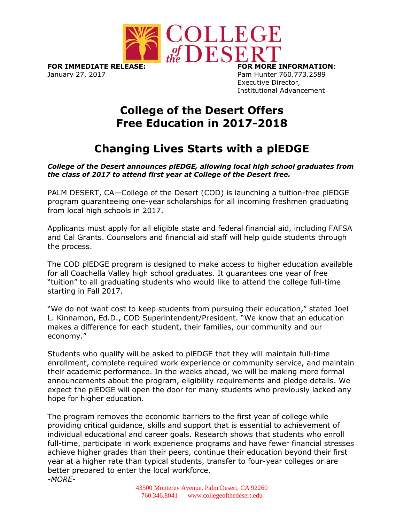

**FOR IMMEDIATE RELEASE: FOR MORE INFORMATION**: January 27, 2017 **Pam Hunter 760.773.2589** 

Executive Director, Institutional Advancement

## **College of the Desert Offers Free Education in 2017-2018**

## **Changing Lives Starts with a plEDGE**

*College of the Desert announces plEDGE, allowing local high school graduates from the class of 2017 to attend first year at College of the Desert free.*

PALM DESERT, CA—College of the Desert (COD) is launching a tuition-free plEDGE program guaranteeing one-year scholarships for all incoming freshmen graduating from local high schools in 2017.

Applicants must apply for all eligible state and federal financial aid, including FAFSA and Cal Grants. Counselors and financial aid staff will help guide students through the process.

The COD plEDGE program is designed to make access to higher education available for all Coachella Valley high school graduates. It guarantees one year of free "tuition" to all graduating students who would like to attend the college full-time starting in Fall 2017.

"We do not want cost to keep students from pursuing their education," stated Joel L. Kinnamon, Ed.D., COD Superintendent/President. "We know that an education makes a difference for each student, their families, our community and our economy."

Students who qualify will be asked to plEDGE that they will maintain full-time enrollment, complete required work experience or community service, and maintain their academic performance. In the weeks ahead, we will be making more formal announcements about the program, eligibility requirements and pledge details. We expect the plEDGE will open the door for many students who previously lacked any hope for higher education.

The program removes the economic barriers to the first year of college while providing critical guidance, skills and support that is essential to achievement of individual educational and career goals. Research shows that students who enroll full-time, participate in work experience programs and have fewer financial stresses achieve higher grades than their peers, continue their education beyond their first year at a higher rate than typical students, transfer to four-year colleges or are better prepared to enter the local workforce. *-MORE-*